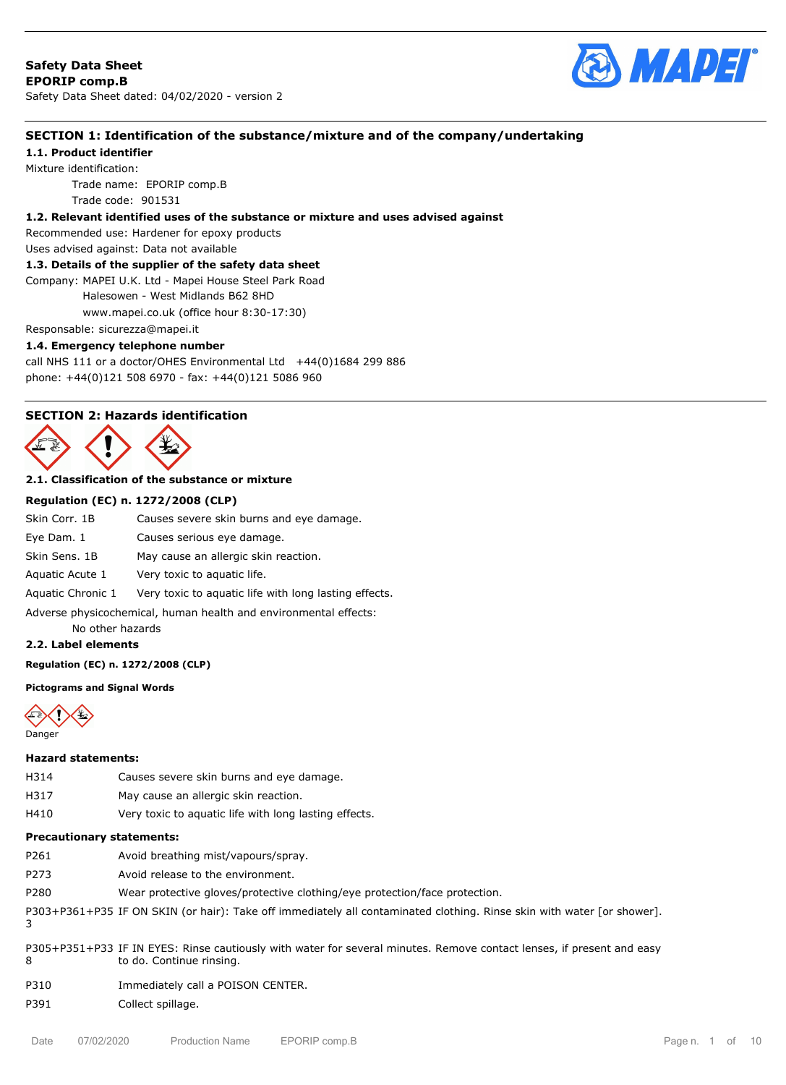

# **SECTION 1: Identification of the substance/mixture and of the company/undertaking**

**1.1. Product identifier**

Mixture identification:

Trade name: EPORIP comp.B

Trade code: 901531

# **1.2. Relevant identified uses of the substance or mixture and uses advised against**

Recommended use: Hardener for epoxy products

Uses advised against: Data not available

# **1.3. Details of the supplier of the safety data sheet**

Company: MAPEI U.K. Ltd - Mapei House Steel Park Road Halesowen - West Midlands B62 8HD

www.mapei.co.uk (office hour 8:30-17:30)

Responsable: sicurezza@mapei.it

### **1.4. Emergency telephone number**

call NHS 111 or a doctor/OHES Environmental Ltd  $+44(0)1684$  299 886 phone: +44(0)121 508 6970 - fax: +44(0)121 5086 960

# **SECTION 2: Hazards identification**



# **2.1. Classification of the substance or mixture**

### **Regulation (EC) n. 1272/2008 (CLP)**

| Skin Corr, 1B                                                    | Causes severe skin burns and eye damage.              |  |  |  |  |
|------------------------------------------------------------------|-------------------------------------------------------|--|--|--|--|
| Eye Dam. 1                                                       | Causes serious eye damage.                            |  |  |  |  |
| Skin Sens, 1B                                                    | May cause an allergic skin reaction.                  |  |  |  |  |
| Aquatic Acute 1                                                  | Very toxic to aquatic life.                           |  |  |  |  |
| Aquatic Chronic 1                                                | Very toxic to aguatic life with long lasting effects. |  |  |  |  |
| Adverse physicochemical, human health and environmental effects: |                                                       |  |  |  |  |
| No other hazards                                                 |                                                       |  |  |  |  |

### **2.2. Label elements**

#### **Regulation (EC) n. 1272/2008 (CLP)**

### **Pictograms and Signal Words**



#### **Hazard statements:**

- H314 Causes severe skin burns and eye damage.
- H317 May cause an allergic skin reaction.
- H410 Very toxic to aquatic life with long lasting effects.

#### **Precautionary statements:**

- P261 Avoid breathing mist/vapours/spray.
- P273 Avoid release to the environment.
- P280 Wear protective gloves/protective clothing/eye protection/face protection.

P303+P361+P35 IF ON SKIN (or hair): Take off immediately all contaminated clothing. Rinse skin with water [or shower]. 3

- P305+P351+P33 IF IN EYES: Rinse cautiously with water for several minutes. Remove contact lenses, if present and easy 8 to do. Continue rinsing.
- P310 Immediately call a POISON CENTER.

### P391 Collect spillage.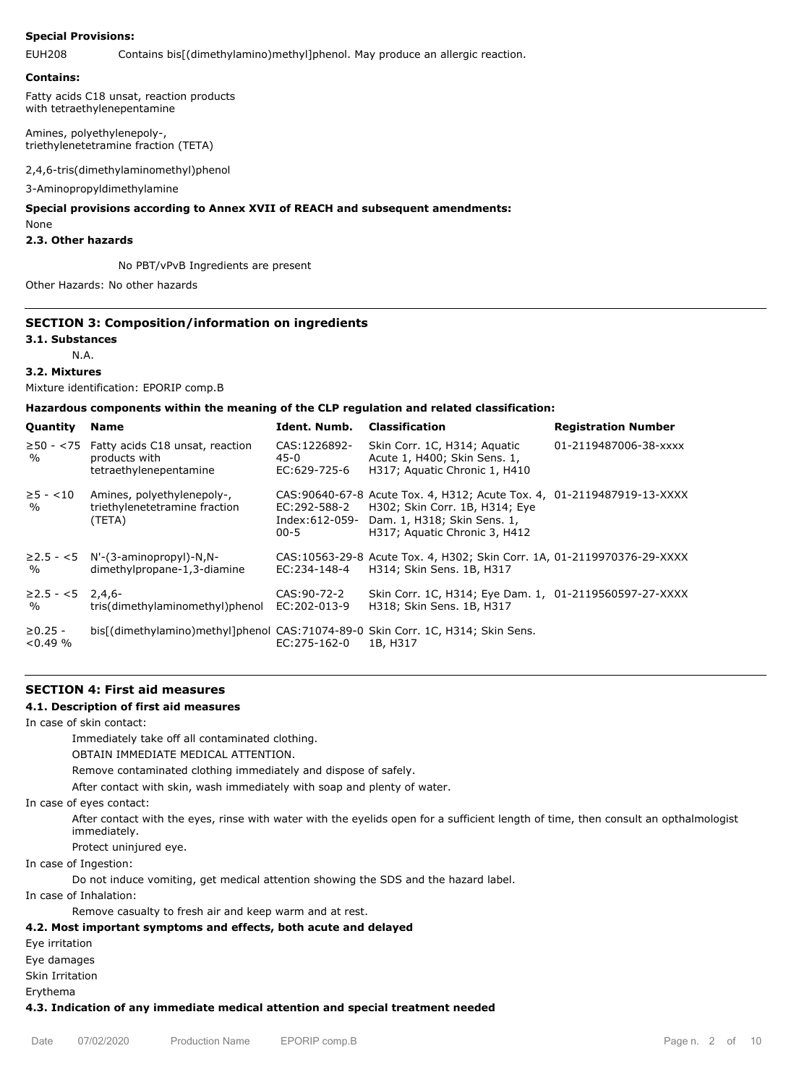### **Special Provisions:**

EUH208 Contains bis[(dimethylamino)methyl]phenol. May produce an allergic reaction.

#### **Contains:**

Fatty acids C18 unsat, reaction products with tetraethylenepentamine

Amines, polyethylenepoly-, triethylenetetramine fraction (TETA)

2,4,6-tris(dimethylaminomethyl)phenol

3-Aminopropyldimethylamine

# **Special provisions according to Annex XVII of REACH and subsequent amendments:**

None

#### **2.3. Other hazards**

No PBT/vPvB Ingredients are present

Other Hazards: No other hazards

## **SECTION 3: Composition/information on ingredients**

#### **3.1. Substances**

N.A.

### **3.2. Mixtures**

Mixture identification: EPORIP comp.B

### **Hazardous components within the meaning of the CLP regulation and related classification:**

| Quantity                        | <b>Name</b>                                                                                | Ident. Numb.                               | <b>Classification</b>                                                                                                                                                    | <b>Registration Number</b> |
|---------------------------------|--------------------------------------------------------------------------------------------|--------------------------------------------|--------------------------------------------------------------------------------------------------------------------------------------------------------------------------|----------------------------|
| $\frac{0}{0}$                   | $\geq$ 50 - <75 Fatty acids C18 unsat, reaction<br>products with<br>tetraethylenepentamine | CAS:1226892-<br>45-0<br>EC:629-725-6       | Skin Corr. 1C, H314; Aquatic<br>Acute 1, H400; Skin Sens. 1,<br>H317; Aquatic Chronic 1, H410                                                                            | 01-2119487006-38-xxxx      |
| $\ge 5 - < 10$<br>$\frac{0}{0}$ | Amines, polyethylenepoly-,<br>triethylenetetramine fraction<br>(TETA)                      | EC:292-588-2<br>Index:612-059-<br>$00 - 5$ | CAS:90640-67-8 Acute Tox. 4, H312; Acute Tox. 4, 01-2119487919-13-XXXX<br>H302; Skin Corr. 1B, H314; Eye<br>Dam. 1, H318; Skin Sens. 1,<br>H317; Aquatic Chronic 3, H412 |                            |
| $\frac{0}{0}$                   | $\geq$ 2.5 - <5 N'-(3-aminopropyl)-N,N-<br>dimethylpropane-1,3-diamine                     | EC:234-148-4                               | CAS:10563-29-8 Acute Tox. 4, H302; Skin Corr. 1A, 01-2119970376-29-XXXX<br>H314; Skin Sens. 1B, H317                                                                     |                            |
| $≥2.5 - <5$ 2,4,6-<br>%         | tris(dimethylaminomethyl)phenol                                                            | CAS: 90-72-2<br>EC:202-013-9               | Skin Corr. 1C, H314; Eye Dam. 1, 01-2119560597-27-XXXX<br>H318; Skin Sens. 1B, H317                                                                                      |                            |
| $\geq 0.25 -$<br>$< 0.49\%$     | bis[(dimethylamino)methyl]phenol CAS:71074-89-0 Skin Corr. 1C, H314; Skin Sens.            | EC:275-162-0                               | 1B, H317                                                                                                                                                                 |                            |

## **SECTION 4: First aid measures**

### **4.1. Description of first aid measures**

In case of skin contact:

Immediately take off all contaminated clothing.

OBTAIN IMMEDIATE MEDICAL ATTENTION.

Remove contaminated clothing immediately and dispose of safely.

After contact with skin, wash immediately with soap and plenty of water.

In case of eyes contact:

After contact with the eyes, rinse with water with the eyelids open for a sufficient length of time, then consult an opthalmologist immediately.

Protect uninjured eye.

In case of Ingestion:

Do not induce vomiting, get medical attention showing the SDS and the hazard label.

In case of Inhalation:

Remove casualty to fresh air and keep warm and at rest.

## **4.2. Most important symptoms and effects, both acute and delayed**

Eye irritation

Eye damages

Skin Irritation

Erythema

### **4.3. Indication of any immediate medical attention and special treatment needed**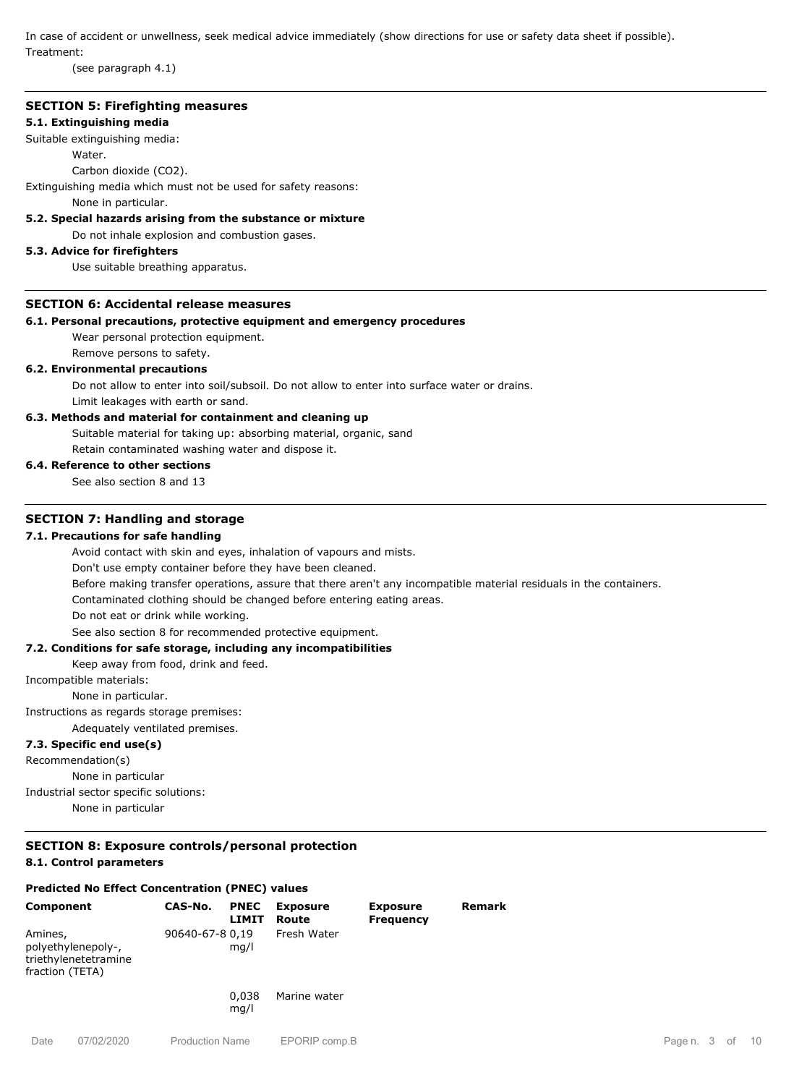In case of accident or unwellness, seek medical advice immediately (show directions for use or safety data sheet if possible). Treatment:

(see paragraph 4.1)

## **SECTION 5: Firefighting measures**

## **5.1. Extinguishing media**

## Suitable extinguishing media:

Water

Carbon dioxide (CO2).

Extinguishing media which must not be used for safety reasons:

None in particular.

## **5.2. Special hazards arising from the substance or mixture**

Do not inhale explosion and combustion gases.

# **5.3. Advice for firefighters**

Use suitable breathing apparatus.

# **SECTION 6: Accidental release measures**

## **6.1. Personal precautions, protective equipment and emergency procedures**

Wear personal protection equipment.

Remove persons to safety.

### **6.2. Environmental precautions**

Do not allow to enter into soil/subsoil. Do not allow to enter into surface water or drains. Limit leakages with earth or sand.

### **6.3. Methods and material for containment and cleaning up**

Suitable material for taking up: absorbing material, organic, sand Retain contaminated washing water and dispose it.

### **6.4. Reference to other sections**

See also section 8 and 13

# **SECTION 7: Handling and storage**

### **7.1. Precautions for safe handling**

Avoid contact with skin and eyes, inhalation of vapours and mists.

Don't use empty container before they have been cleaned.

Before making transfer operations, assure that there aren't any incompatible material residuals in the containers.

Contaminated clothing should be changed before entering eating areas.

Do not eat or drink while working.

## See also section 8 for recommended protective equipment.

# **7.2. Conditions for safe storage, including any incompatibilities**

Keep away from food, drink and feed.

Incompatible materials:

None in particular.

Instructions as regards storage premises:

Adequately ventilated premises.

### **7.3. Specific end use(s)**

Recommendation(s)

None in particular

Industrial sector specific solutions:

None in particular

# **SECTION 8: Exposure controls/personal protection**

## **8.1. Control parameters**

## **Predicted No Effect Concentration (PNEC) values**

| <b>Component</b>                                                         | CAS-No.         | <b>PNEC</b><br>LIMIT | <b>Exposure</b><br>Route | <b>Exposure</b><br><b>Frequency</b> | Remark |
|--------------------------------------------------------------------------|-----------------|----------------------|--------------------------|-------------------------------------|--------|
| Amines,<br>polyethylenepoly-,<br>triethylenetetramine<br>fraction (TETA) | 90640-67-8 0,19 | mq/l                 | Fresh Water              |                                     |        |
|                                                                          |                 | 0.038<br>mq/l        | Marine water             |                                     |        |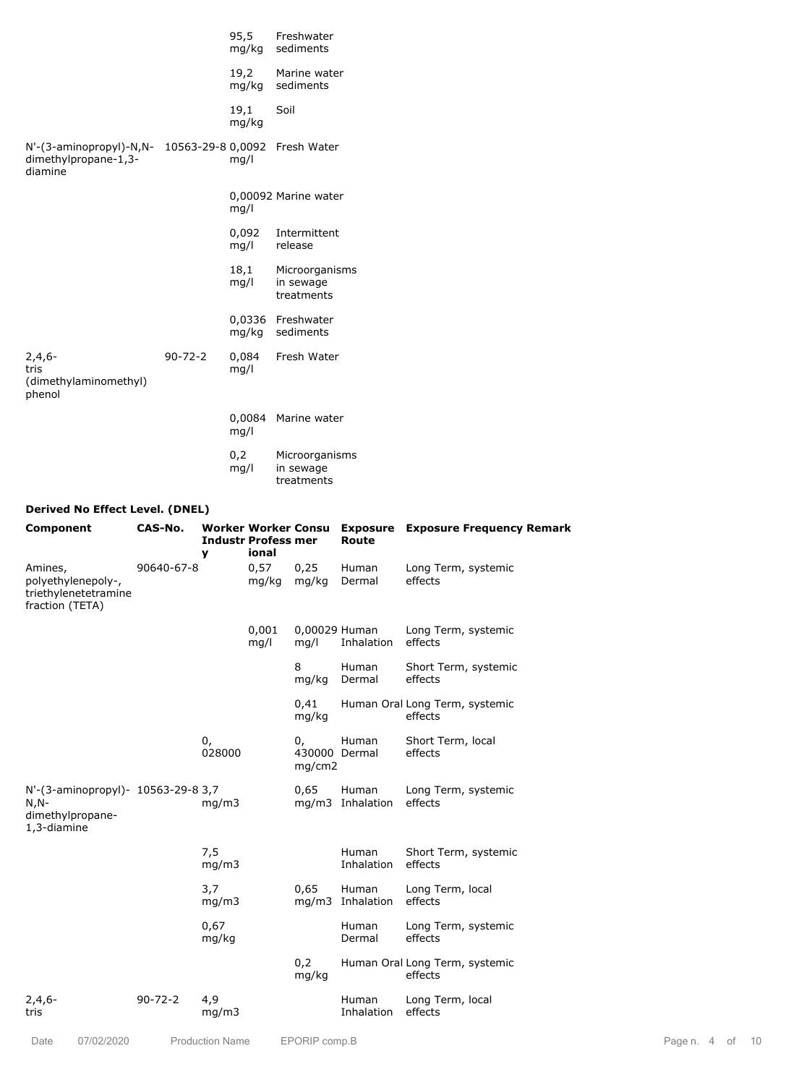|                                                                              |               | 95,5<br>mg/kg   | Freshwater<br>sediments                   |
|------------------------------------------------------------------------------|---------------|-----------------|-------------------------------------------|
|                                                                              |               | 19,2<br>mg/kg   | Marine water<br>sediments                 |
|                                                                              |               | 19,1<br>mg/kg   | Soil                                      |
| N'-(3-aminopropyl)-N,N- 10563-29-8 0,0092<br>dimethylpropane-1,3-<br>diamine |               | mq/l            | Fresh Water                               |
|                                                                              |               | mq/l            | 0,00092 Marine water                      |
|                                                                              |               | 0,092<br>mg/l   | Intermittent<br>release                   |
|                                                                              |               | 18,1<br>mq/l    | Microorganisms<br>in sewage<br>treatments |
|                                                                              |               | 0,0336<br>mg/kg | Freshwater<br>sediments                   |
| $2,4,6-$<br>tris<br>(dimethylaminomethyl)<br>phenol                          | $90 - 72 - 2$ | 0,084<br>mq/l   | Fresh Water                               |
|                                                                              |               | 0,0084<br>mq/l  | Marine water                              |
|                                                                              |               | 0,2<br>mq/l     | Microorganisms<br>in sewage<br>treatments |

# **Derived No Effect Level. (DNEL)**

| Component                                                                        | CAS-No.       | y                      | <b>Industr Profess mer</b><br>ional |                               | <b>Route</b>              | Worker Worker Consu Exposure Exposure Frequency Remark |              |  |      |
|----------------------------------------------------------------------------------|---------------|------------------------|-------------------------------------|-------------------------------|---------------------------|--------------------------------------------------------|--------------|--|------|
| Amines,<br>polyethylenepoly-,<br>triethylenetetramine<br>fraction (TETA)         | 90640-67-8    |                        | 0,57<br>mg/kg                       | 0,25<br>mg/kg                 | Human<br>Dermal           | Long Term, systemic<br>effects                         |              |  |      |
|                                                                                  |               |                        | 0,001<br>mg/l                       | 0,00029 Human<br>mq/l         | Inhalation                | Long Term, systemic<br>effects                         |              |  |      |
|                                                                                  |               |                        |                                     | 8<br>mg/kg                    | Human<br>Dermal           | Short Term, systemic<br>effects                        |              |  |      |
|                                                                                  |               |                        |                                     | 0,41<br>mg/kg                 |                           | Human Oral Long Term, systemic<br>effects              |              |  |      |
|                                                                                  |               | 0,<br>028000           |                                     | 0,<br>430000 Dermal<br>mq/cm2 | Human                     | Short Term, local<br>effects                           |              |  |      |
| N'-(3-aminopropyl)- 10563-29-8 3,7<br>$N, N-$<br>dimethylpropane-<br>1,3-diamine |               | mq/m3                  |                                     | 0,65                          | Human<br>mg/m3 Inhalation | Long Term, systemic<br>effects                         |              |  |      |
|                                                                                  |               | 7,5<br>mq/m3           |                                     |                               | Human<br>Inhalation       | Short Term, systemic<br>effects                        |              |  |      |
|                                                                                  |               | 3,7<br>mg/m3           |                                     | 0,65                          | Human<br>mg/m3 Inhalation | Long Term, local<br>effects                            |              |  |      |
|                                                                                  |               | 0,67<br>mg/kg          |                                     |                               | Human<br>Dermal           | Long Term, systemic<br>effects                         |              |  |      |
|                                                                                  |               |                        |                                     | 0,2<br>mg/kg                  |                           | Human Oral Long Term, systemic<br>effects              |              |  |      |
| $2,4,6-$<br>tris                                                                 | $90 - 72 - 2$ | 4,9<br>mq/m3           |                                     |                               | Human<br>Inhalation       | Long Term, local<br>effects                            |              |  |      |
| 07/02/2020<br>Date                                                               |               | <b>Production Name</b> |                                     | EPORIP comp.B                 |                           |                                                        | Page n. 4 of |  | - 10 |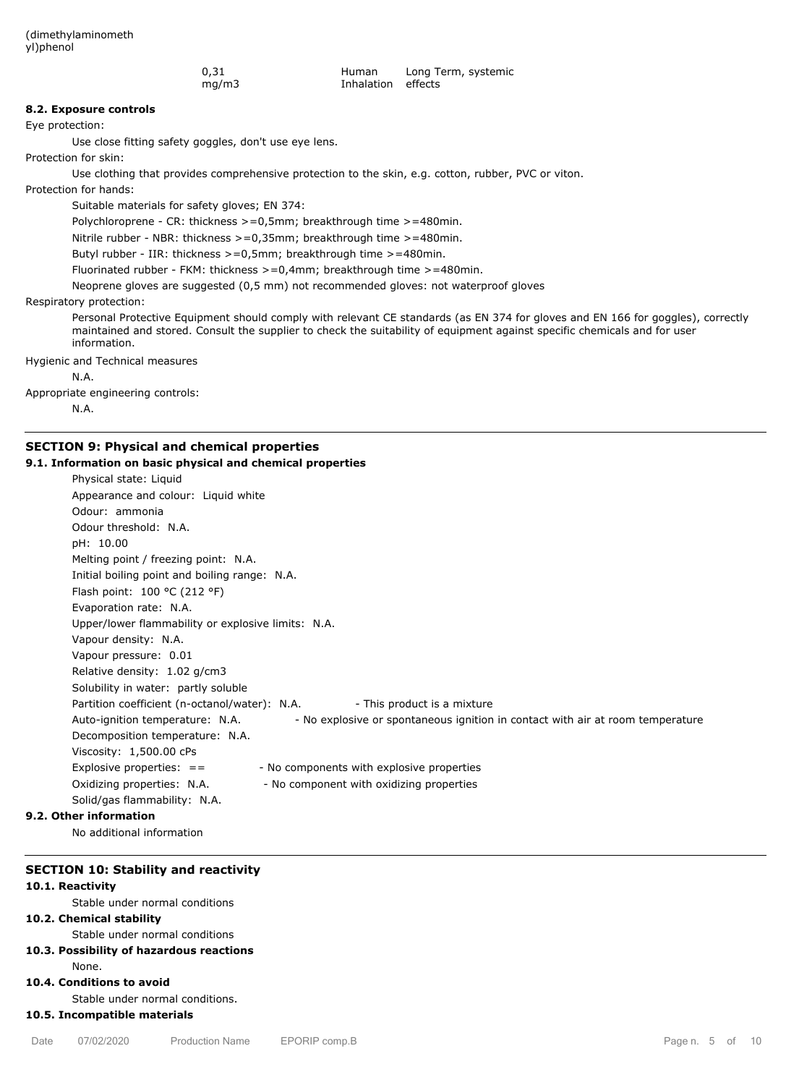| 0,31  | Human              | Long Term, systemic |
|-------|--------------------|---------------------|
| mq/m3 | Inhalation effects |                     |

### **8.2. Exposure controls**

Eye protection:

Use close fitting safety goggles, don't use eye lens.

Protection for skin:

Use clothing that provides comprehensive protection to the skin, e.g. cotton, rubber, PVC or viton.

Protection for hands:

Suitable materials for safety gloves; EN 374:

Polychloroprene - CR: thickness >=0,5mm; breakthrough time >=480min.

Nitrile rubber - NBR: thickness >=0,35mm; breakthrough time >=480min.

Butyl rubber - IIR: thickness >=0,5mm; breakthrough time >=480min.

Fluorinated rubber - FKM: thickness >=0,4mm; breakthrough time >=480min.

Neoprene gloves are suggested (0,5 mm) not recommended gloves: not waterproof gloves

Respiratory protection:

Personal Protective Equipment should comply with relevant CE standards (as EN 374 for gloves and EN 166 for goggles), correctly maintained and stored. Consult the supplier to check the suitability of equipment against specific chemicals and for user information.

Hygienic and Technical measures

N.A.

Appropriate engineering controls:

N.A.

## **SECTION 9: Physical and chemical properties**

#### **9.1. Information on basic physical and chemical properties**

| Physical state: Liquid                                                                                            |
|-------------------------------------------------------------------------------------------------------------------|
| Appearance and colour: Liquid white                                                                               |
| Odour: ammonia                                                                                                    |
| Odour threshold: N.A.                                                                                             |
| pH: 10.00                                                                                                         |
| Melting point / freezing point: N.A.                                                                              |
| Initial boiling point and boiling range: N.A.                                                                     |
| Flash point: 100 °C (212 °F)                                                                                      |
| Evaporation rate: N.A.                                                                                            |
| Upper/lower flammability or explosive limits: N.A.                                                                |
| Vapour density: N.A.                                                                                              |
| Vapour pressure: 0.01                                                                                             |
| Relative density: 1.02 g/cm3                                                                                      |
| Solubility in water: partly soluble                                                                               |
| Partition coefficient (n-octanol/water): N.A.<br>- This product is a mixture                                      |
| - No explosive or spontaneous ignition in contact with air at room temperature<br>Auto-ignition temperature: N.A. |
| Decomposition temperature: N.A.                                                                                   |
| Viscosity: 1,500.00 cPs                                                                                           |
| - No components with explosive properties<br>Explosive properties: $=$                                            |
| Oxidizing properties: N.A.<br>- No component with oxidizing properties                                            |
| Solid/gas flammability: N.A.                                                                                      |
| 9.2. Other information                                                                                            |

No additional information

### **SECTION 10: Stability and reactivity**

### **10.1. Reactivity**

Stable under normal conditions

## **10.2. Chemical stability**

Stable under normal conditions

# **10.3. Possibility of hazardous reactions**

#### None.

## **10.4. Conditions to avoid**

Stable under normal conditions.

# **10.5. Incompatible materials**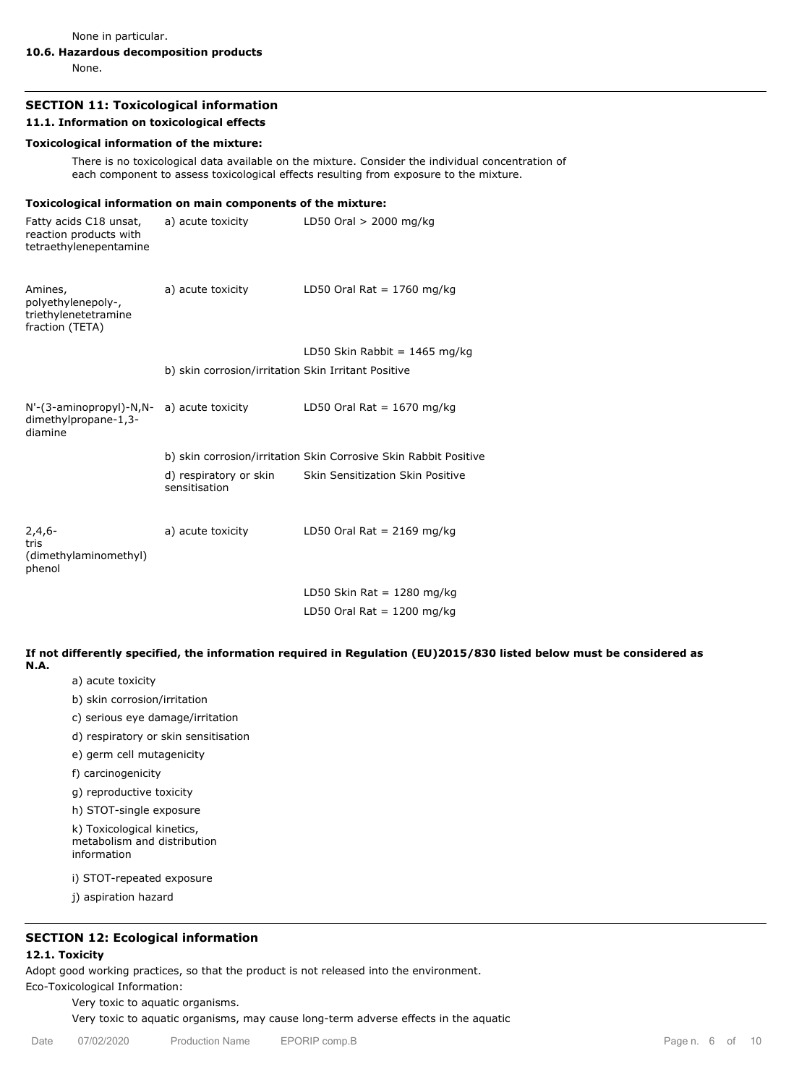None in particular.

## **10.6. Hazardous decomposition products**

None.

# **SECTION 11: Toxicological information**

### **11.1. Information on toxicological effects**

### **Toxicological information of the mixture:**

There is no toxicological data available on the mixture. Consider the individual concentration of each component to assess toxicological effects resulting from exposure to the mixture.

### **Toxicological information on main components of the mixture:**

| Fatty acids C18 unsat,<br>reaction products with<br>tetraethylenepentamine | a) acute toxicity                                   | LD50 Oral $> 2000$ mg/kg                                         |
|----------------------------------------------------------------------------|-----------------------------------------------------|------------------------------------------------------------------|
| Amines,<br>polyethylenepoly-,<br>triethylenetetramine<br>fraction (TETA)   | a) acute toxicity                                   | LD50 Oral Rat = $1760$ mg/kg                                     |
|                                                                            |                                                     | LD50 Skin Rabbit = $1465$ mg/kg                                  |
|                                                                            | b) skin corrosion/irritation Skin Irritant Positive |                                                                  |
| N'-(3-aminopropyl)-N,N-<br>dimethylpropane-1,3-<br>diamine                 | a) acute toxicity                                   | LD50 Oral Rat = $1670$ mg/kg                                     |
|                                                                            |                                                     | b) skin corrosion/irritation Skin Corrosive Skin Rabbit Positive |
|                                                                            | d) respiratory or skin<br>sensitisation             | <b>Skin Sensitization Skin Positive</b>                          |
| $2,4,6-$<br>tris<br>(dimethylaminomethyl)<br>phenol                        | a) acute toxicity                                   | LD50 Oral Rat = $2169$ mg/kg                                     |
|                                                                            |                                                     | LD50 Skin Rat = 1280 mg/kg                                       |
|                                                                            |                                                     | LD50 Oral Rat = $1200$ mg/kg                                     |

**If not differently specified, the information required in Regulation (EU)2015/830 listed below must be considered as N.A.**

- a) acute toxicity
- b) skin corrosion/irritation
- c) serious eye damage/irritation
- d) respiratory or skin sensitisation
- e) germ cell mutagenicity

f) carcinogenicity

g) reproductive toxicity

h) STOT-single exposure

k) Toxicological kinetics, metabolism and distribution information

i) STOT-repeated exposure

j) aspiration hazard

# **SECTION 12: Ecological information**

## **12.1. Toxicity**

Adopt good working practices, so that the product is not released into the environment.

Eco-Toxicological Information:

Very toxic to aquatic organisms.

Very toxic to aquatic organisms, may cause long-term adverse effects in the aquatic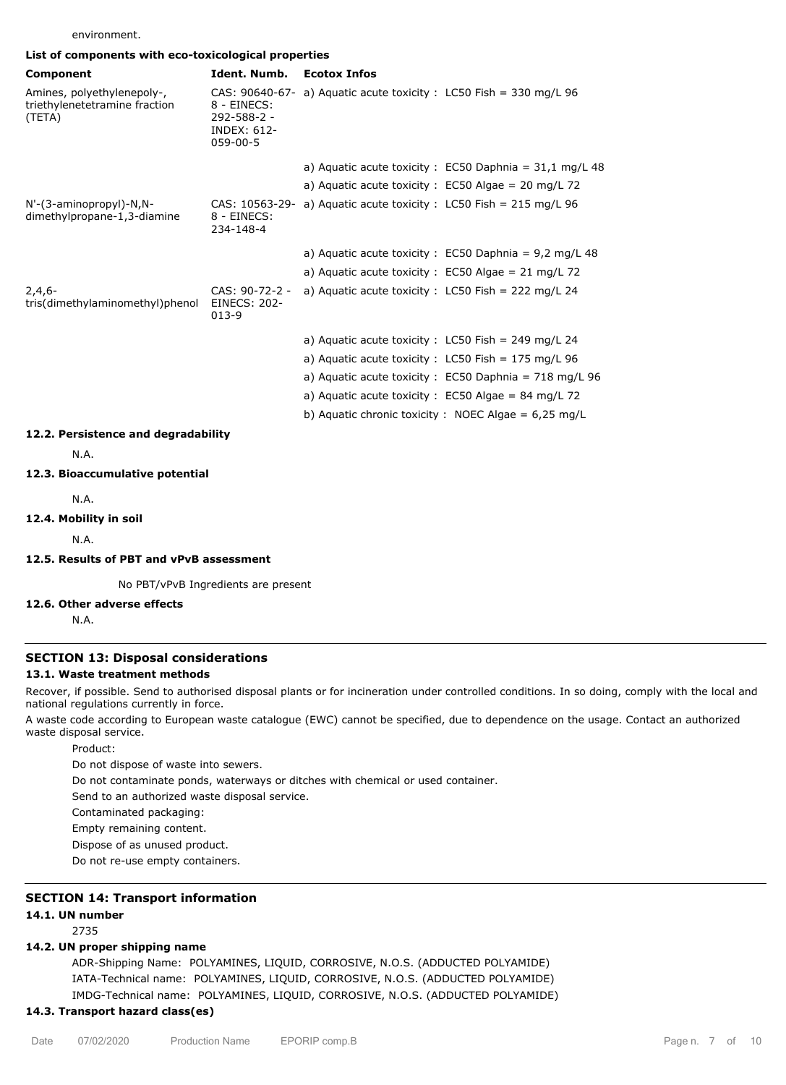environment.

|  | List of components with eco-toxicological properties |  |
|--|------------------------------------------------------|--|
|  |                                                      |  |

| ייטוינט זיונוי ככס נטגונטוסקוכמו פוטפטו נוכ                           |                                                                                      |                                                                      |
|-----------------------------------------------------------------------|--------------------------------------------------------------------------------------|----------------------------------------------------------------------|
| Component                                                             | Ident. Numb.                                                                         | <b>Ecotox Infos</b>                                                  |
| Amines, polyethylenepoly-,<br>triethylenetetramine fraction<br>(TETA) | CAS: 90640-67-<br>8 - EINECS:<br>292-588-2 -<br><b>INDEX: 612-</b><br>$059 - 00 - 5$ | a) Aquatic acute toxicity : $LC50$ Fish = 330 mg/L 96                |
|                                                                       |                                                                                      | a) Aquatic acute toxicity : $EC50$ Daphnia = 31,1 mg/L 48            |
|                                                                       |                                                                                      | a) Aquatic acute toxicity : $EC50$ Algae = 20 mg/L 72                |
| N'-(3-aminopropyl)-N,N-<br>dimethylpropane-1,3-diamine                | 8 - EINECS:<br>234-148-4                                                             | CAS: $10563-29- a)$ Aquatic acute toxicity : LC50 Fish = 215 mg/L 96 |
|                                                                       |                                                                                      | a) Aquatic acute toxicity : EC50 Daphnia = $9,2$ mg/L 48             |
|                                                                       |                                                                                      | a) Aquatic acute toxicity : $EC50$ Algae = 21 mg/L 72                |
| $2,4,6-$<br>tris(dimethylaminomethyl)phenol                           | CAS: 90-72-2 -<br><b>EINECS: 202-</b><br>$013-9$                                     | a) Aquatic acute toxicity: $LC50$ Fish = 222 mg/L 24                 |
|                                                                       |                                                                                      | a) Aquatic acute toxicity : $LC50$ Fish = 249 mg/L 24                |
|                                                                       |                                                                                      | a) Aquatic acute toxicity: $LC50$ Fish = 175 mg/L 96                 |
|                                                                       |                                                                                      | a) Aquatic acute toxicity : EC50 Daphnia = 718 mg/L 96               |
|                                                                       |                                                                                      | a) Aquatic acute toxicity : EC50 Algae = 84 mg/L 72                  |
|                                                                       |                                                                                      | b) Aquatic chronic toxicity : NOEC Algae = $6.25 \text{ mg/L}$       |
| 12.2. Persistence and degradability                                   |                                                                                      |                                                                      |
| N.A.                                                                  |                                                                                      |                                                                      |
| 12.3. Bioaccumulative potential                                       |                                                                                      |                                                                      |
| N.A.                                                                  |                                                                                      |                                                                      |

### **12.4. Mobility in soil**

N.A.

# **12.5. Results of PBT and vPvB assessment**

No PBT/vPvB Ingredients are present

## **12.6. Other adverse effects**

N.A.

# **SECTION 13: Disposal considerations**

## **13.1. Waste treatment methods**

Recover, if possible. Send to authorised disposal plants or for incineration under controlled conditions. In so doing, comply with the local and national regulations currently in force.

A waste code according to European waste catalogue (EWC) cannot be specified, due to dependence on the usage. Contact an authorized waste disposal service.

Product:

Do not dispose of waste into sewers.

Do not contaminate ponds, waterways or ditches with chemical or used container.

Send to an authorized waste disposal service.

Contaminated packaging:

Empty remaining content.

Dispose of as unused product.

Do not re-use empty containers.

# **SECTION 14: Transport information**

## **14.1. UN number**

2735

## **14.2. UN proper shipping name**

ADR-Shipping Name: POLYAMINES, LIQUID, CORROSIVE, N.O.S. (ADDUCTED POLYAMIDE) IATA-Technical name: POLYAMINES, LIQUID, CORROSIVE, N.O.S. (ADDUCTED POLYAMIDE) IMDG-Technical name: POLYAMINES, LIQUID, CORROSIVE, N.O.S. (ADDUCTED POLYAMIDE)

# **14.3. Transport hazard class(es)**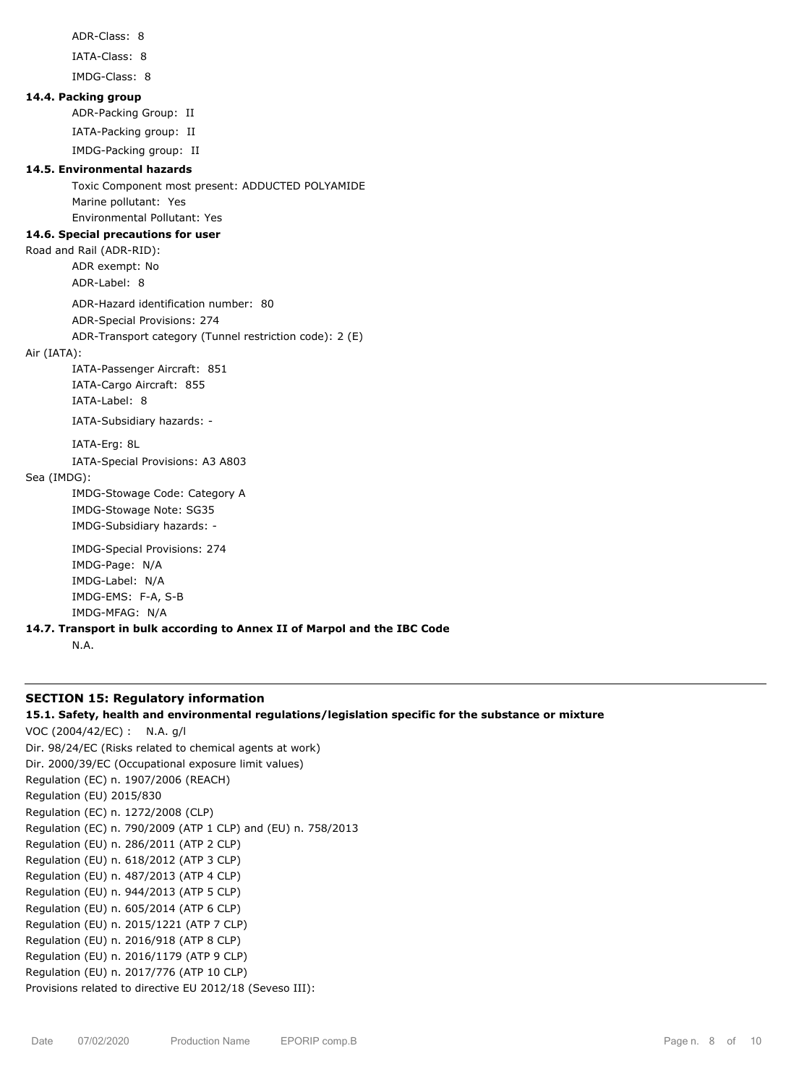```
ADR-Class: 8
        IATA-Class: 8
        IMDG-Class: 8
14.4. Packing group
        ADR-Packing Group: II
        IATA-Packing group: II
        IMDG-Packing group: II
14.5. Environmental hazards
        Toxic Component most present: ADDUCTED POLYAMIDE
        Marine pollutant: Yes
        Environmental Pollutant: Yes
14.6. Special precautions for user
Road and Rail (ADR-RID):
        ADR exempt: No
        ADR-Label: 8
        ADR-Hazard identification number: 80
        ADR-Special Provisions: 274
        ADR-Transport category (Tunnel restriction code): 2 (E)
Air (IATA):
        IATA-Passenger Aircraft: 851
        IATA-Cargo Aircraft: 855
        IATA-Label: 8
        IATA-Subsidiary hazards: -
        IATA-Erg: 8L
        IATA-Special Provisions: A3 A803
Sea (IMDG):
        IMDG-Stowage Code: Category A
        IMDG-Stowage Note: SG35
        IMDG-Subsidiary hazards: -
        IMDG-Special Provisions: 274
        IMDG-Page: N/A
        IMDG-Label: N/A
        IMDG-EMS: F-A, S-B
        IMDG-MFAG: N/A
14.7. Transport in bulk according to Annex II of Marpol and the IBC Code
        N.A.
```
# **SECTION 15: Regulatory information**

**15.1. Safety, health and environmental regulations/legislation specific for the substance or mixture**

VOC (2004/42/EC) : N.A. g/l Dir. 98/24/EC (Risks related to chemical agents at work) Dir. 2000/39/EC (Occupational exposure limit values) Regulation (EC) n. 1907/2006 (REACH) Regulation (EU) 2015/830 Regulation (EC) n. 1272/2008 (CLP) Regulation (EC) n. 790/2009 (ATP 1 CLP) and (EU) n. 758/2013 Regulation (EU) n. 286/2011 (ATP 2 CLP) Regulation (EU) n. 618/2012 (ATP 3 CLP) Regulation (EU) n. 487/2013 (ATP 4 CLP) Regulation (EU) n. 944/2013 (ATP 5 CLP) Regulation (EU) n. 605/2014 (ATP 6 CLP) Regulation (EU) n. 2015/1221 (ATP 7 CLP) Regulation (EU) n. 2016/918 (ATP 8 CLP) Regulation (EU) n. 2016/1179 (ATP 9 CLP) Regulation (EU) n. 2017/776 (ATP 10 CLP) Provisions related to directive EU 2012/18 (Seveso III):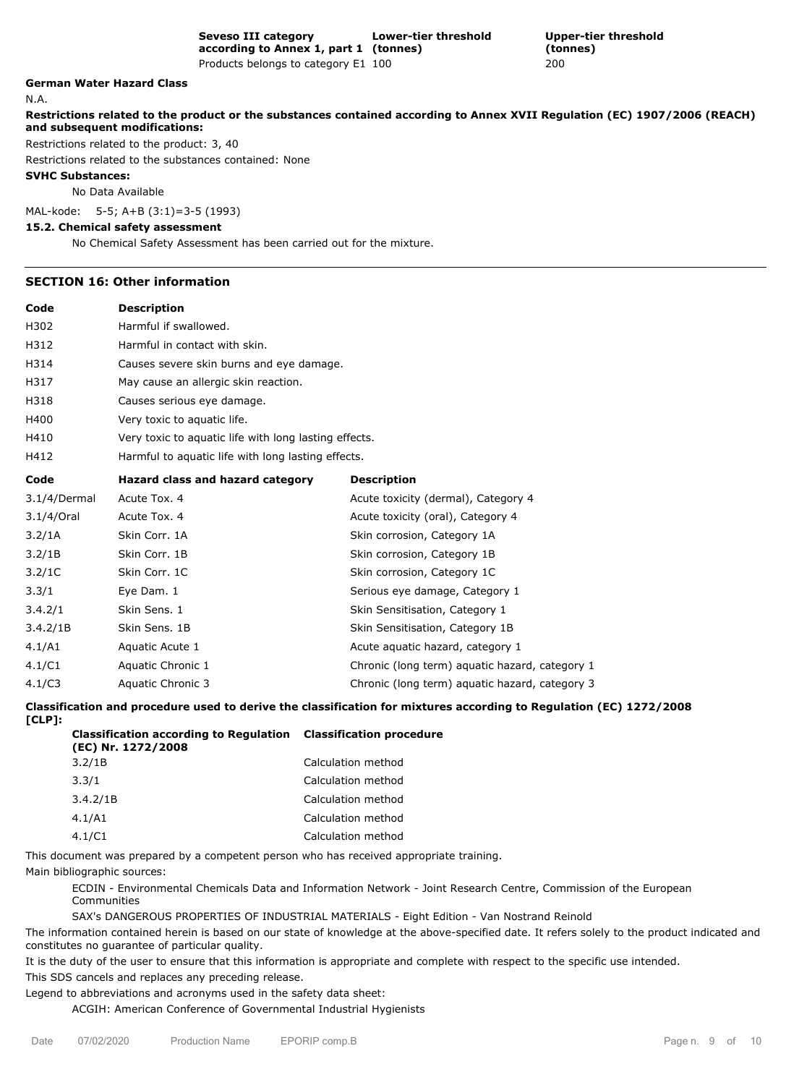**(tonnes)** Products belongs to category E1 100 200

**Upper-tier threshold**

# **German Water Hazard Class**

N.A.

**Restrictions related to the product or the substances contained according to Annex XVII Regulation (EC) 1907/2006 (REACH) and subsequent modifications:**

Restrictions related to the product: 3, 40

Restrictions related to the substances contained: None

**SVHC Substances:**

No Data Available

MAL-kode: 5-5; A+B (3:1)=3-5 (1993)

### **15.2. Chemical safety assessment**

No Chemical Safety Assessment has been carried out for the mixture.

### **SECTION 16: Other information**

**Code Description**

| H302         | Harmful if swallowed.                                 |                                                |  |  |  |  |
|--------------|-------------------------------------------------------|------------------------------------------------|--|--|--|--|
| H312         | Harmful in contact with skin.                         |                                                |  |  |  |  |
| H314         | Causes severe skin burns and eye damage.              |                                                |  |  |  |  |
| H317         | May cause an allergic skin reaction.                  |                                                |  |  |  |  |
| H318         | Causes serious eye damage.                            |                                                |  |  |  |  |
| H400         | Very toxic to aquatic life.                           |                                                |  |  |  |  |
| H410         | Very toxic to aquatic life with long lasting effects. |                                                |  |  |  |  |
| H412         | Harmful to aquatic life with long lasting effects.    |                                                |  |  |  |  |
| Code         | Hazard class and hazard category                      | <b>Description</b>                             |  |  |  |  |
| 3.1/4/Dermal | Acute Tox. 4                                          | Acute toxicity (dermal), Category 4            |  |  |  |  |
| 3.1/4/Oral   | Acute Tox. 4                                          | Acute toxicity (oral), Category 4              |  |  |  |  |
| 3.2/1A       | Skin Corr. 1A                                         | Skin corrosion, Category 1A                    |  |  |  |  |
| 3.2/1B       | Skin Corr. 1B                                         | Skin corrosion, Category 1B                    |  |  |  |  |
| 3.2/1C       | Skin Corr. 1C                                         | Skin corrosion, Category 1C                    |  |  |  |  |
| 3.3/1        | Eye Dam. 1                                            | Serious eye damage, Category 1                 |  |  |  |  |
| 3.4.2/1      | Skin Sens. 1                                          | Skin Sensitisation, Category 1                 |  |  |  |  |
| 3.4.2/1B     | Skin Sens. 1B                                         | Skin Sensitisation, Category 1B                |  |  |  |  |
| 4.1/A1       | Aquatic Acute 1                                       | Acute aquatic hazard, category 1               |  |  |  |  |
| 4.1/C1       | Aquatic Chronic 1                                     | Chronic (long term) aquatic hazard, category 1 |  |  |  |  |
| 4.1/C3       | Aquatic Chronic 3                                     | Chronic (long term) aquatic hazard, category 3 |  |  |  |  |

**Classification and procedure used to derive the classification for mixtures according to Regulation (EC) 1272/2008**

| v |  |
|---|--|
|---|--|

| <b>Classification according to Regulation Classification procedure</b><br>(EC) Nr. 1272/2008 |                    |
|----------------------------------------------------------------------------------------------|--------------------|
| 3.2/1B                                                                                       | Calculation method |
| 3.3/1                                                                                        | Calculation method |
| 3.4.2/1B                                                                                     | Calculation method |
| 4.1/A1                                                                                       | Calculation method |
| 4.1/C1                                                                                       | Calculation method |

This document was prepared by a competent person who has received appropriate training.

Main bibliographic sources:

ECDIN - Environmental Chemicals Data and Information Network - Joint Research Centre, Commission of the European Communities

SAX's DANGEROUS PROPERTIES OF INDUSTRIAL MATERIALS - Eight Edition - Van Nostrand Reinold

The information contained herein is based on our state of knowledge at the above-specified date. It refers solely to the product indicated and constitutes no guarantee of particular quality.

It is the duty of the user to ensure that this information is appropriate and complete with respect to the specific use intended. This SDS cancels and replaces any preceding release.

Legend to abbreviations and acronyms used in the safety data sheet:

ACGIH: American Conference of Governmental Industrial Hygienists